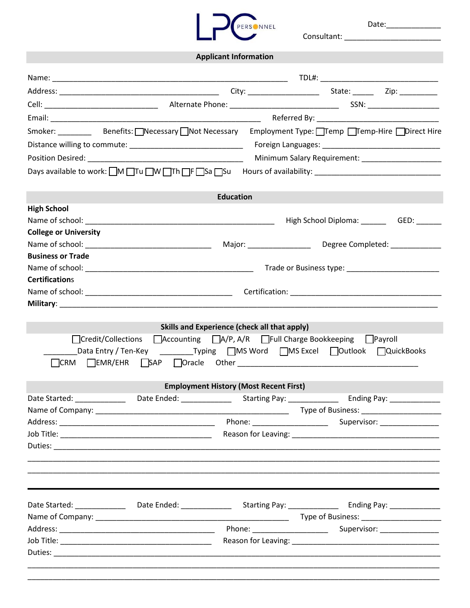| $\overline{\phantom{a}}$ | <b>PERSONNEL</b> |
|--------------------------|------------------|
|                          |                  |

Consultant:

Date:

**Applicant Information** Name: \_\_\_\_\_\_\_\_\_\_\_\_\_\_\_\_\_\_\_\_\_\_\_\_\_\_\_\_\_\_\_\_\_\_\_\_\_\_\_\_\_\_\_\_\_\_\_\_\_\_\_\_\_\_\_\_ TDL#: \_\_\_\_\_\_\_\_\_\_\_\_\_\_\_\_\_\_\_\_\_\_\_\_\_\_\_\_ Address: \_\_\_\_\_\_\_\_\_\_\_\_\_\_\_\_\_\_\_\_\_\_\_\_\_\_\_\_\_\_\_\_\_\_\_\_\_\_ City: \_\_\_\_\_\_\_\_\_\_\_\_\_\_\_\_\_ State: \_\_\_\_\_ Zip: \_\_\_\_\_\_\_\_\_ Cell: \_\_\_\_\_\_\_\_\_\_\_\_\_\_\_\_\_\_\_\_\_\_\_\_\_\_\_ Alternate Phone: \_\_\_\_\_\_\_\_\_\_\_\_\_\_\_\_\_\_\_\_\_\_\_\_\_\_ SSN: \_\_\_\_\_\_\_\_\_\_\_\_\_\_\_\_\_ Email: Email: Email: Email: Email: Email: Email: Email: Email: Email: Email: Email: Email: Email: Email: Email: Email: Email: Email: Email: Email: Email: Email: Email: Email: Email: Email: Email: Email: Email: Email: Email Smoker: Benefits: <u>\_\_</u>Necessary \_\_Not Necessary \_\_\_Employment Type: \_\_Temp \_\_Temp-Hire \_\_\_Direct Hire Distance willing to commute:  $\Box$  The commute is the community of the community of the community of the community of the community of the community of the community of the community of the community of the community of the Position Desired: \_\_\_\_\_\_\_\_\_\_\_\_\_\_\_\_\_\_\_\_\_\_\_\_\_\_\_\_\_\_\_\_\_\_\_\_\_ Minimum Salary Requirement: \_\_\_\_\_\_\_\_\_\_\_\_\_\_\_\_\_\_\_ Days available to work: \_\_M \_\_Tu \_\_W \_\_Th \_\_F \_\_Sa \_\_Su Hours of availability: \_\_\_\_\_\_\_\_\_\_\_\_\_\_\_\_\_\_\_\_\_\_\_\_\_\_\_\_\_\_ **Education High School** Name of school: \_\_\_\_\_\_\_\_\_\_\_\_\_\_\_\_\_\_\_\_\_\_\_\_\_\_\_\_\_\_\_\_\_\_\_\_\_\_\_\_\_\_\_\_\_ High School Diploma: \_\_\_\_\_\_ GED: \_\_\_\_\_\_ **College or University** Name of school: \_\_\_\_\_\_\_\_\_\_\_\_\_\_\_\_\_\_\_\_\_\_\_\_\_\_\_\_\_\_ Major: \_\_\_\_\_\_\_\_\_\_\_\_\_\_\_ Degree Completed: \_\_\_\_\_\_\_\_\_\_\_\_ **Business or Trade** Name of school: \_\_\_\_\_\_\_\_\_\_\_\_\_\_\_\_\_\_\_\_\_\_\_\_\_\_\_\_\_\_\_\_\_\_\_\_\_\_\_\_ Trade or Business type: \_\_\_\_\_\_\_\_\_\_\_\_\_\_\_\_\_\_\_\_\_\_ **Certification**s Name of school: \_\_\_\_\_\_\_\_\_\_\_\_\_\_\_\_\_\_\_\_\_\_\_\_\_\_\_\_\_\_\_\_\_\_\_ Certification: \_\_\_\_\_\_\_\_\_\_\_\_\_\_\_\_\_\_\_\_\_\_\_\_\_\_\_\_\_\_\_\_\_\_\_\_ **Military: Skills and Experience (check all that apply)** \_\_Credit/Collections \_\_Accounting \_\_A/P, A/R \_\_Full Charge Bookkeeping \_\_Payroll \_\_\_Data Entry / Ten-Key \_\_\_\_\_\_\_\_\_Typing \_\_MS Word \_\_MS Excel \_\_\_\_Outlook \_\_\_\_QuickBooks \_\_CRM \_\_EMR/EHR \_\_SAP \_\_Oracle Other \_\_\_\_\_\_\_\_\_\_\_\_\_\_\_\_\_\_\_\_\_\_\_\_\_\_\_\_\_\_\_\_\_\_\_\_\_\_\_\_\_\_\_ **Employment History (Most Recent First)** Date Started: etc. And Date Ended: Enderstanding Pay: Ending Pay: Ending Pay: Contract of Date Ended: Ending Pay: Contract of Date Ended: Ending Pay: Contract of Date Ended: Ending Pay: Contract of Date Ended: Ending Pay: Name of Company: \_\_\_\_\_\_\_\_\_\_\_\_\_\_\_\_\_\_\_\_\_\_\_\_\_\_\_\_\_\_\_\_\_\_\_\_\_\_\_\_\_\_\_\_\_\_ Type of Business: \_\_\_\_\_\_\_\_\_\_\_\_\_\_\_\_\_\_\_ Address: \_\_\_\_\_\_\_\_\_\_\_\_\_\_\_\_\_\_\_\_\_\_\_\_\_\_\_\_\_\_\_\_\_\_\_\_\_ Phone: \_\_\_\_\_\_\_\_\_\_\_\_\_\_\_\_\_\_ Supervisor: \_\_\_\_\_\_\_\_\_\_\_\_\_\_ Job Title: \_\_\_\_\_\_\_\_\_\_\_\_\_\_\_\_\_\_\_\_\_\_\_\_\_\_\_\_\_\_\_\_\_\_\_\_ Reason for Leaving: \_\_\_\_\_\_\_\_\_\_\_\_\_\_\_\_\_\_\_\_\_\_\_\_\_\_\_\_\_\_\_\_\_\_\_ Duties: \_\_\_\_\_\_\_\_\_\_\_\_\_\_\_\_\_\_\_\_\_\_\_\_\_\_\_\_\_\_\_\_\_\_\_\_\_\_\_\_\_\_\_\_\_\_\_\_\_\_\_\_\_\_\_\_\_\_\_\_\_\_\_\_\_\_\_\_\_\_\_\_\_\_\_\_\_\_\_\_\_\_\_\_\_\_\_\_\_\_\_\_ \_\_\_\_\_\_\_\_\_\_\_\_\_\_\_\_\_\_\_\_\_\_\_\_\_\_\_\_\_\_\_\_\_\_\_\_\_\_\_\_\_\_\_\_\_\_\_\_\_\_\_\_\_\_\_\_\_\_\_\_\_\_\_\_\_\_\_\_\_\_\_\_\_\_\_\_\_\_\_\_\_\_\_\_\_\_\_\_\_\_\_\_\_\_\_\_\_\_ \_\_\_\_\_\_\_\_\_\_\_\_\_\_\_\_\_\_\_\_\_\_\_\_\_\_\_\_\_\_\_\_\_\_\_\_\_\_\_\_\_\_\_\_\_\_\_\_\_\_\_\_\_\_\_\_\_\_\_\_\_\_\_\_\_\_\_\_\_\_\_\_\_\_\_\_\_\_\_\_\_\_\_\_\_\_\_\_\_\_\_\_\_\_\_\_\_\_ Date Started: \_\_\_\_\_\_\_\_\_\_\_\_\_\_\_\_\_ Date Ended: \_\_\_\_\_\_\_\_\_\_\_\_\_\_\_\_\_\_Starting Pay: \_\_\_\_\_\_\_\_\_\_\_\_\_\_\_\_\_\_\_\_\_\_\_\_\_\_\_\_\_\_\_\_\_\_ Name of Company: \_\_\_\_\_\_\_\_\_\_\_\_\_\_\_\_\_\_\_\_\_\_\_\_\_\_\_\_\_\_\_\_\_\_\_\_\_\_\_\_\_\_\_\_\_\_ Type of Business: \_\_\_\_\_\_\_\_\_\_\_\_\_\_\_\_\_\_\_ Address: \_\_\_\_\_\_\_\_\_\_\_\_\_\_\_\_\_\_\_\_\_\_\_\_\_\_\_\_\_\_\_\_\_\_\_\_\_ Phone: \_\_\_\_\_\_\_\_\_\_\_\_\_\_\_\_\_\_ Supervisor: \_\_\_\_\_\_\_\_\_\_\_\_\_\_ Job Title: The Communication of the Communication of the Reason for Leaving:  $\sim$  Reason for Leaving: Duties: \_\_\_\_\_\_\_\_\_\_\_\_\_\_\_\_\_\_\_\_\_\_\_\_\_\_\_\_\_\_\_\_\_\_\_\_\_\_\_\_\_\_\_\_\_\_\_\_\_\_\_\_\_\_\_\_\_\_\_\_\_\_\_\_\_\_\_\_\_\_\_\_\_\_\_\_\_\_\_\_\_\_\_\_\_\_\_\_\_\_\_\_\_\_\_\_\_\_ \_\_\_\_\_\_\_\_\_\_\_\_\_\_\_\_\_\_\_\_\_\_\_\_\_\_\_\_\_\_\_\_\_\_\_\_\_\_\_\_\_\_\_\_\_\_\_\_\_\_\_\_\_\_\_\_\_\_\_\_\_\_\_\_\_\_\_\_\_\_\_\_\_\_\_\_\_\_\_\_\_\_\_\_\_\_\_\_\_\_\_\_\_\_\_\_\_\_